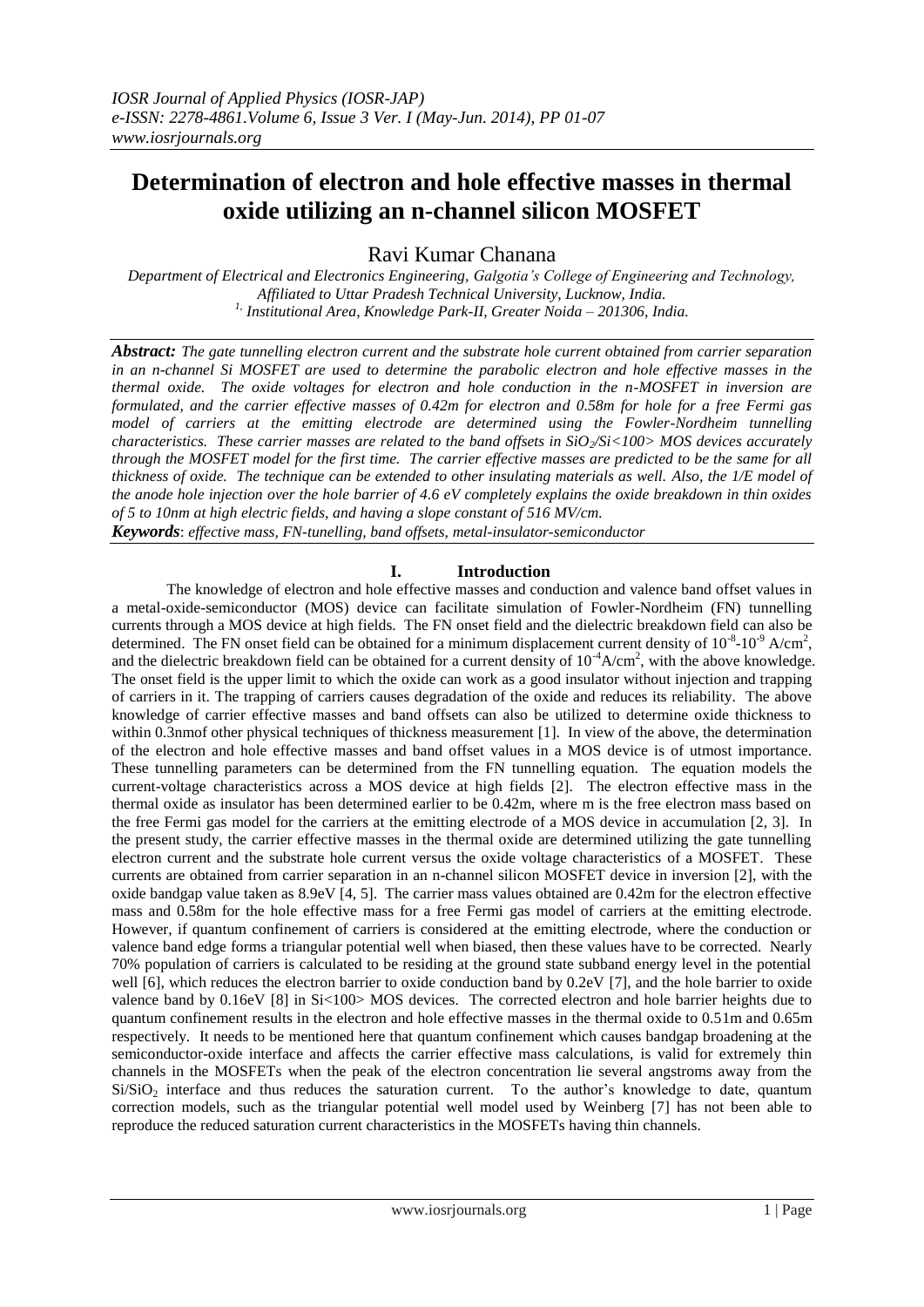# **Determination of electron and hole effective masses in thermal oxide utilizing an n-channel silicon MOSFET**

Ravi Kumar Chanana

*Department of Electrical and Electronics Engineering, Galgotia's College of Engineering and Technology, Affiliated to Uttar Pradesh Technical University, Lucknow, India. 1, Institutional Area, Knowledge Park-II, Greater Noida – 201306, India.*

*Abstract: The gate tunnelling electron current and the substrate hole current obtained from carrier separation in an n-channel Si MOSFET are used to determine the parabolic electron and hole effective masses in the thermal oxide. The oxide voltages for electron and hole conduction in the n-MOSFET in inversion are formulated, and the carrier effective masses of 0.42m for electron and 0.58m for hole for a free Fermi gas model of carriers at the emitting electrode are determined using the Fowler-Nordheim tunnelling characteristics. These carrier masses are related to the band offsets in SiO<sub>2</sub>/Si<100>MOS devices accurately through the MOSFET model for the first time. The carrier effective masses are predicted to be the same for all thickness of oxide. The technique can be extended to other insulating materials as well. Also, the 1/E model of the anode hole injection over the hole barrier of 4.6 eV completely explains the oxide breakdown in thin oxides of 5 to 10nm at high electric fields, and having a slope constant of 516 MV/cm.*

*Keywords*: *effective mass, FN-tunelling, band offsets, metal-insulator-semiconductor*

### **I. Introduction**

The knowledge of electron and hole effective masses and conduction and valence band offset values in a metal-oxide-semiconductor (MOS) device can facilitate simulation of Fowler-Nordheim (FN) tunnelling currents through a MOS device at high fields. The FN onset field and the dielectric breakdown field can also be determined. The FN onset field can be obtained for a minimum displacement current density of  $10^{-8}$ - $10^{-9}$  A/cm<sup>2</sup>, and the dielectric breakdown field can be obtained for a current density of  $10^{-4}$ A/cm<sup>2</sup>, with the above knowledge. The onset field is the upper limit to which the oxide can work as a good insulator without injection and trapping of carriers in it. The trapping of carriers causes degradation of the oxide and reduces its reliability. The above knowledge of carrier effective masses and band offsets can also be utilized to determine oxide thickness to within 0.3nmof other physical techniques of thickness measurement [1]. In view of the above, the determination of the electron and hole effective masses and band offset values in a MOS device is of utmost importance. These tunnelling parameters can be determined from the FN tunnelling equation. The equation models the current-voltage characteristics across a MOS device at high fields [2]. The electron effective mass in the thermal oxide as insulator has been determined earlier to be 0.42m, where m is the free electron mass based on the free Fermi gas model for the carriers at the emitting electrode of a MOS device in accumulation [2, 3]. In the present study, the carrier effective masses in the thermal oxide are determined utilizing the gate tunnelling electron current and the substrate hole current versus the oxide voltage characteristics of a MOSFET. These currents are obtained from carrier separation in an n-channel silicon MOSFET device in inversion [2], with the oxide bandgap value taken as  $8.9eV$  [4, 5]. The carrier mass values obtained are  $0.42m$  for the electron effective mass and 0.58m for the hole effective mass for a free Fermi gas model of carriers at the emitting electrode. However, if quantum confinement of carriers is considered at the emitting electrode, where the conduction or valence band edge forms a triangular potential well when biased, then these values have to be corrected. Nearly 70% population of carriers is calculated to be residing at the ground state subband energy level in the potential well [6], which reduces the electron barrier to oxide conduction band by 0.2eV [7], and the hole barrier to oxide valence band by 0.16eV [8] in Si<100> MOS devices. The corrected electron and hole barrier heights due to quantum confinement results in the electron and hole effective masses in the thermal oxide to 0.51m and 0.65m respectively. It needs to be mentioned here that quantum confinement which causes bandgap broadening at the semiconductor-oxide interface and affects the carrier effective mass calculations, is valid for extremely thin channels in the MOSFETs when the peak of the electron concentration lie several angstroms away from the Si/SiO<sub>2</sub> interface and thus reduces the saturation current. To the author's knowledge to date, quantum correction models, such as the triangular potential well model used by Weinberg [7] has not been able to reproduce the reduced saturation current characteristics in the MOSFETs having thin channels.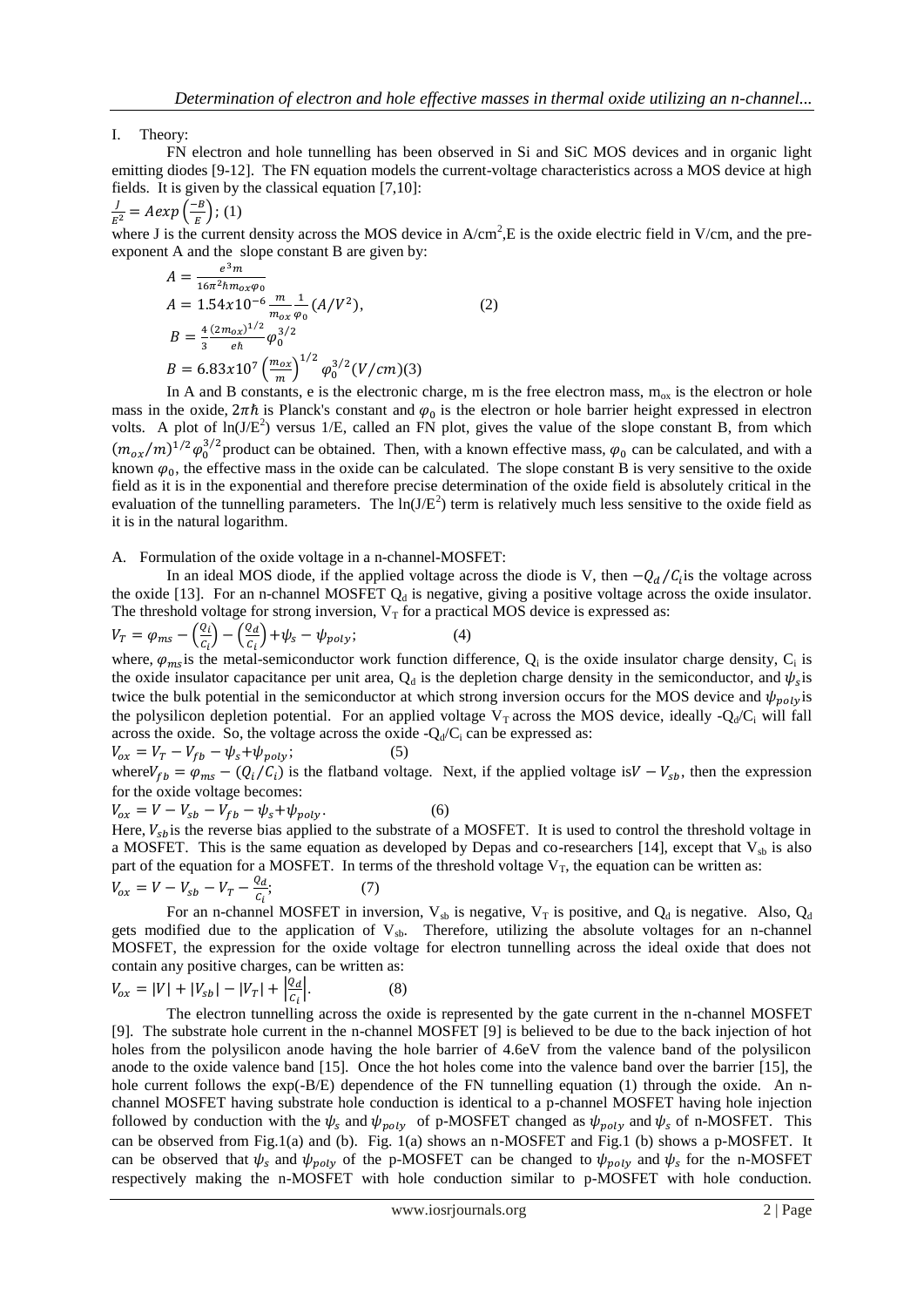I. Theory:

FN electron and hole tunnelling has been observed in Si and SiC MOS devices and in organic light emitting diodes [9-12]. The FN equation models the current-voltage characteristics across a MOS device at high fields. It is given by the classical equation [7,10]:

$$
\frac{J}{E^2} = A exp\left(\frac{-B}{E}\right); (1)
$$

 $\frac{f}{E^2} = A exp\left(\frac{-B}{E}\right)$ ; (1)<br>where J is the current density across the MOS device in A/cm<sup>2</sup>,E is the oxide electric field in V/cm, and the preexponent A and the slope constant B are given by:

$$
A = \frac{e^{3}m}{16\pi^{2}\hbar m_{ox}\varphi_{0}}
$$
  
\n
$$
A = 1.54x10^{-6} \frac{m}{m_{ox}\varphi_{0}} (A/V^{2}),
$$
  
\n
$$
B = \frac{4}{3} \frac{(2m_{ox})^{1/2}}{e\hbar} \varphi_{0}^{3/2}
$$
  
\n
$$
B = 6.83x10^{7} \left(\frac{m_{ox}}{m}\right)^{1/2} \varphi_{0}^{3/2} (V/cm)(3)
$$
  
\nIn A and B constants, a is the algebraic charge, m is

In A and B constants, e is the electronic charge, m is the free electron mass,  $m_{ox}$  is the electron or hole mass in the oxide,  $2\pi\hbar$  is Planck's constant and  $\varphi_0$  is the electron or hole barrier height expressed in electron volts. A plot of  $ln(J/E^2)$  versus 1/E, called an FN plot, gives the value of the slope constant B, from which  $(m_{ox}/m)^{1/2}\varphi_0^{3/2}$  product can be obtained. Then, with a known effective mass,  $\varphi_0$  can be calculated, and with a known  $\varphi_0$ , the effective mass in the oxide can be calculated. The slope constant B is very sensitive to the oxide field as it is in the exponential and therefore precise determination of the oxide field is absolutely critical in the evaluation of the tunnelling parameters. The  $ln(J/E^2)$  term is relatively much less sensitive to the oxide field as it is in the natural logarithm.

A. Formulation of the oxide voltage in a n-channel-MOSFET:

In an ideal MOS diode, if the applied voltage across the diode is V, then  $-Q_d/C_i$  is the voltage across the oxide [13]. For an n-channel MOSFET  $Q_d$  is negative, giving a positive voltage across the oxide insulator. The threshold voltage for strong inversion,  $V_T$  for a practical MOS device is expressed as:

 $V_T = \varphi_{ms} - \left(\frac{\varrho}{\sigma}\right)$  $\frac{Q_i}{C_i}$ ) –  $\left(\frac{Q}{C}\right)$  $\frac{\partial u}{\partial c_i}\Big) + \psi_s - \psi_{poly};$  (4) where,  $\varphi_{ms}$  is the metal-semiconductor work function difference,  $Q_i$  is the oxide insulator charge density,  $C_i$  is the oxide insulator capacitance per unit area,  $Q_d$  is the depletion charge density in the semiconductor, and  $\psi_s$  is twice the bulk potential in the semiconductor at which strong inversion occurs for the MOS device and  $\psi_{poly}$  is the polysilicon depletion potential. For an applied voltage  $V_T$  across the MOS device, ideally - $Q_d/C_i$  will fall across the oxide. So, the voltage across the oxide  $-Q_d/C_i$  can be expressed as:

 $V_{ox} = V_T - V_{fb} - \psi_s + \psi_{poly};$  (5) where  $V_{fb} = \varphi_{ms} - (Q_i/C_i)$  is the flatband voltage. Next, if the applied voltage is  $V - V_{sb}$ , then the expression for the oxide voltage becomes:

$$
V_{ox} = V - V_{sb} - V_{fb} - \psi_s + \psi_{poly}.
$$
 (6)

Here,  $V_{sh}$  is the reverse bias applied to the substrate of a MOSFET. It is used to control the threshold voltage in a MOSFET. This is the same equation as developed by Depas and co-researchers [14], except that  $V_{sb}$  is also part of the equation for a MOSFET. In terms of the threshold voltage  $V_T$ , the equation can be written as:

$$
V_{ox} = V - V_{sb} - V_T - \frac{Q_d}{c_i};\tag{7}
$$

For an n-channel MOSFET in inversion,  $V_{sb}$  is negative,  $V_T$  is positive, and  $Q_d$  is negative. Also,  $Q_d$ gets modified due to the application of  $V_{sb}$ . Therefore, utilizing the absolute voltages for an n-channel MOSFET, the expression for the oxide voltage for electron tunnelling across the ideal oxide that does not contain any positive charges, can be written as:

$$
V_{ox} = |V| + |V_{sb}| - |V_T| + \left|\frac{Q_d}{C_i}\right|.
$$
 (8)

The electron tunnelling across the oxide is represented by the gate current in the n-channel MOSFET [9]. The substrate hole current in the n-channel MOSFET [9] is believed to be due to the back injection of hot holes from the polysilicon anode having the hole barrier of 4.6eV from the valence band of the polysilicon anode to the oxide valence band [15]. Once the hot holes come into the valence band over the barrier [15], the hole current follows the exp(-B/E) dependence of the FN tunnelling equation (1) through the oxide. An nchannel MOSFET having substrate hole conduction is identical to a p-channel MOSFET having hole injection followed by conduction with the  $\psi_s$  and  $\psi_{poly}$  of p-MOSFET changed as  $\psi_{poly}$  and  $\psi_s$  of n-MOSFET. This can be observed from Fig.1(a) and (b). Fig. 1(a) shows an n-MOSFET and Fig.1 (b) shows a p-MOSFET. It can be observed that  $\psi_s$  and  $\psi_{poly}$  of the p-MOSFET can be changed to  $\psi_{poly}$  and  $\psi_s$  for the n-MOSFET respectively making the n-MOSFET with hole conduction similar to p-MOSFET with hole conduction.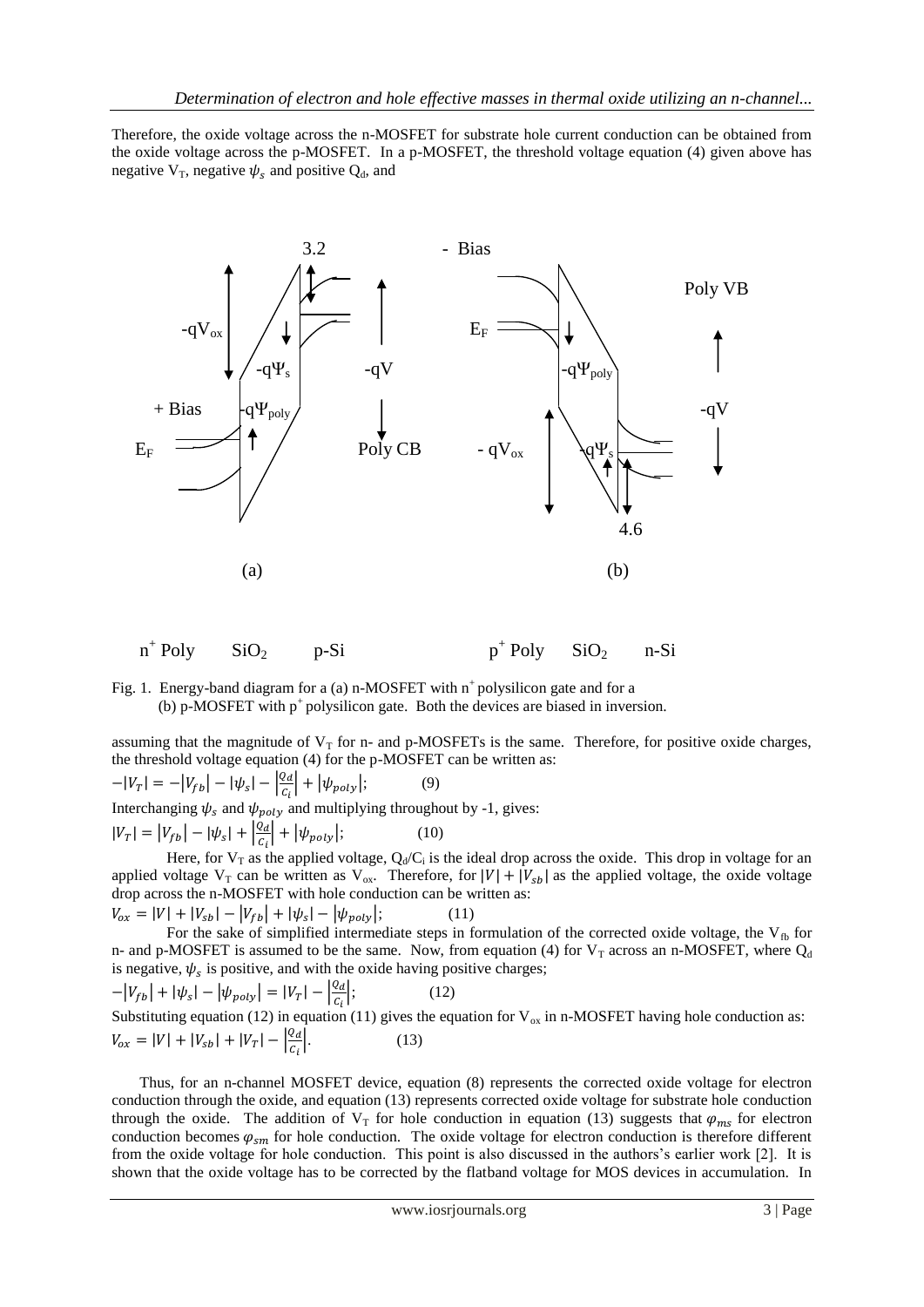Therefore, the oxide voltage across the n-MOSFET for substrate hole current conduction can be obtained from the oxide voltage across the p-MOSFET. In a p-MOSFET, the threshold voltage equation (4) given above has negative  $V_T$ , negative  $\psi_s$  and positive  $Q_d$ , and



 $n^+$ Poly  $SiO<sub>2</sub>$  p-Si p<sup>+</sup>  $p^+$  Poly SiO<sub>2</sub> n-Si

Fig. 1. Energy-band diagram for a (a) n-MOSFET with  $n^+$  polysilicon gate and for a (b) p-MOSFET with  $p^+$  polysilicon gate. Both the devices are biased in inversion.

assuming that the magnitude of  $V_T$  for n- and p-MOSFETs is the same. Therefore, for positive oxide charges, the threshold voltage equation (4) for the p-MOSFET can be written as:

$$
-|V_T| = -|V_{fb}| - |\psi_s| - \left|\frac{Q_d}{c_i}\right| + |\psi_{poly}|; \tag{9}
$$

Interchanging  $\psi_s$  and  $\psi_{\text{poly}}$  and multiplying throughout by -1, gives:

$$
|V_T| = |V_{fb}| - |\psi_s| + \left|\frac{q_d}{c_i}\right| + |\psi_{poly}|;
$$
 (10)

Here, for  $V_T$  as the applied voltage,  $Q_d/C_i$  is the ideal drop across the oxide. This drop in voltage for an applied voltage  $V_T$  can be written as  $V_{ox}$ . Therefore, for  $|V| + |V_{sb}|$  as the applied voltage, the oxide voltage drop across the n-MOSFET with hole conduction can be written as:  $|V_{ox} = |V| + |V_{sb}| - |V_{fb}| + |\psi_s| - |\psi_{volv}|;$  (11)

For the sake of simplified intermediate steps in formulation of the corrected oxide voltage, the  $V_{fb}$  for n- and p-MOSFET is assumed to be the same. Now, from equation (4) for  $V_T$  across an n-MOSFET, where  $Q_d$ is negative,  $\psi_s$  is positive, and with the oxide having positive charges;

$$
-|V_{fb}| + |\psi_s| - |\psi_{poly}| = |V_T| - \left|\frac{Q_d}{C_i}\right|; \tag{12}
$$
  
Substituting equation (12) in equation (11) gives the equation for V<sub>ox</sub> in n-MOSFET having hole conduction as:  

$$
V_{ox} = |V| + |V_{sb}| + |V_T| - \left|\frac{Q_d}{C_i}\right|.
$$
 (13)

Thus, for an n-channel MOSFET device, equation (8) represents the corrected oxide voltage for electron conduction through the oxide, and equation (13) represents corrected oxide voltage for substrate hole conduction through the oxide. The addition of  $V_T$  for hole conduction in equation (13) suggests that  $\varphi_{ms}$  for electron conduction becomes  $\varphi_{sm}$  for hole conduction. The oxide voltage for electron conduction is therefore different from the oxide voltage for hole conduction. This point is also discussed in the authors's earlier work [2]. It is shown that the oxide voltage has to be corrected by the flatband voltage for MOS devices in accumulation. In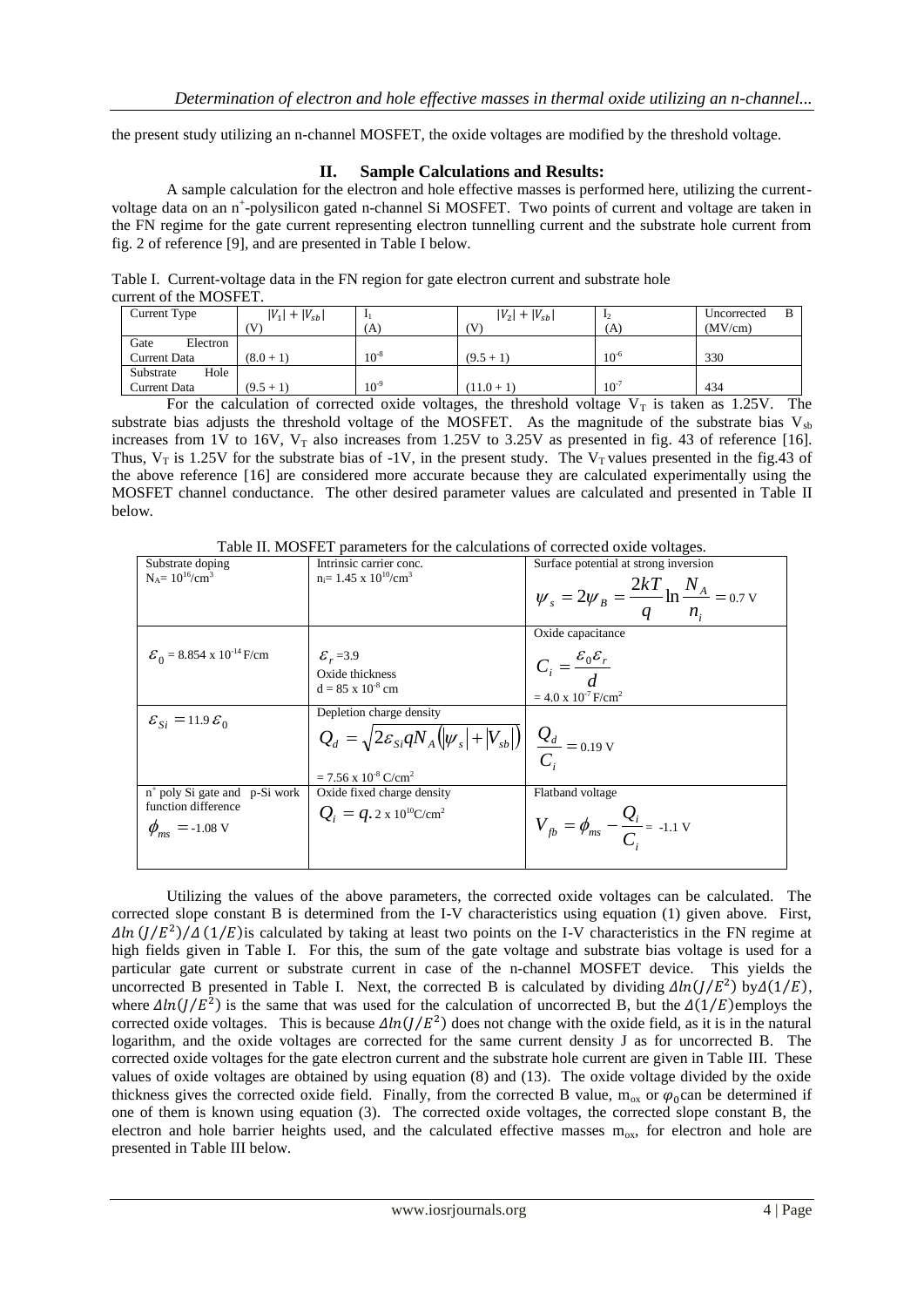the present study utilizing an n-channel MOSFET, the oxide voltages are modified by the threshold voltage.

## **II. Sample Calculations and Results:**

A sample calculation for the electron and hole effective masses is performed here, utilizing the currentvoltage data on an n<sup>+</sup>-polysilicon gated n-channel Si MOSFET. Two points of current and voltage are taken in the FN regime for the gate current representing electron tunnelling current and the substrate hole current from fig. 2 of reference [9], and are presented in Table I below.

Table I. Current-voltage data in the FN region for gate electron current and substrate hole current of the MOSFET.

| Current Type        | $ V_1  +  V_{sb} $ |           | $ V_2  +  V_{sb} $ | 12        | Uncorrected |
|---------------------|--------------------|-----------|--------------------|-----------|-------------|
|                     | (V                 | (A)       | ίV                 | (A)       | (MV/cm)     |
| Gate<br>Electron    |                    |           |                    |           |             |
| <b>Current Data</b> | $(8.0 + 1)$        | $10^{-8}$ | $(9.5 + 1)$        | $10^{-6}$ | 330         |
| Substrate<br>Hole   |                    |           |                    |           |             |
| Current Data        | $(9.5 + 1)$        | $10^{-9}$ | $(11.0 + 1)$       | $10^{-7}$ | 434         |

For the calculation of corrected oxide voltages, the threshold voltage  $V<sub>T</sub>$  is taken as 1.25V. The substrate bias adjusts the threshold voltage of the MOSFET. As the magnitude of the substrate bias  $V_{sb}$ increases from 1V to 16V,  $V_T$  also increases from 1.25V to 3.25V as presented in fig. 43 of reference [16]. Thus,  $V_T$  is 1.25V for the substrate bias of -1V, in the present study. The  $V_T$  values presented in the fig.43 of the above reference [16] are considered more accurate because they are calculated experimentally using the MOSFET channel conductance. The other desired parameter values are calculated and presented in Table II below.

Table II. MOSFET parameters for the calculations of corrected oxide voltages.

| $\frac{1}{2}$                                    |                                                                                                        |                                                                  |  |  |  |  |  |
|--------------------------------------------------|--------------------------------------------------------------------------------------------------------|------------------------------------------------------------------|--|--|--|--|--|
| Substrate doping                                 | Intrinsic carrier conc.                                                                                | Surface potential at strong inversion                            |  |  |  |  |  |
| $N_A = 10^{16} / \text{cm}^3$                    | $n_i = 1.45 \times 10^{10} / \text{cm}^3$                                                              |                                                                  |  |  |  |  |  |
|                                                  |                                                                                                        | $W_s = 2W_B = \frac{2kT}{q} \ln \frac{N_A}{n_i} = 0.7 \text{ V}$ |  |  |  |  |  |
|                                                  |                                                                                                        |                                                                  |  |  |  |  |  |
|                                                  |                                                                                                        |                                                                  |  |  |  |  |  |
|                                                  |                                                                                                        | Oxide capacitance                                                |  |  |  |  |  |
| $\mathcal{E}_0$ = 8.854 x 10 <sup>-14</sup> F/cm | $\mathcal{E}_r = 3.9$                                                                                  |                                                                  |  |  |  |  |  |
|                                                  | Oxide thickness                                                                                        | $C_i = \frac{\varepsilon_0 \varepsilon_r}{d}$                    |  |  |  |  |  |
|                                                  | $d = 85 \times 10^{-8}$ cm                                                                             |                                                                  |  |  |  |  |  |
|                                                  |                                                                                                        | $= 4.0 \times 10^{-7}$ F/cm <sup>2</sup>                         |  |  |  |  |  |
| $\mathcal{E}_{Si} = 11.9 \mathcal{E}_0$          | Depletion charge density                                                                               |                                                                  |  |  |  |  |  |
|                                                  | $Q_d = \sqrt{2\epsilon_{si} q N_A ( \psi_s  +  V_{sb} )} \left  \frac{Q_d}{C}\right  = 0.19 \text{ V}$ |                                                                  |  |  |  |  |  |
|                                                  |                                                                                                        |                                                                  |  |  |  |  |  |
|                                                  | $= 7.56$ x $10^{-8}$ C/cm <sup>2</sup>                                                                 |                                                                  |  |  |  |  |  |
| $n^+$ poly Si gate and p-Si work                 | Oxide fixed charge density                                                                             | Flatband voltage                                                 |  |  |  |  |  |
| function difference                              | $Q_i = q \cdot 2 \times 10^{10}$ C/cm <sup>2</sup>                                                     |                                                                  |  |  |  |  |  |
| $\phi_{ms} = -1.08 \text{ V}$                    |                                                                                                        | $V_{fb} = \phi_{ms} - \frac{Q_i}{C}$ = -1.1 V                    |  |  |  |  |  |
|                                                  |                                                                                                        |                                                                  |  |  |  |  |  |
|                                                  |                                                                                                        |                                                                  |  |  |  |  |  |
|                                                  |                                                                                                        |                                                                  |  |  |  |  |  |

Utilizing the values of the above parameters, the corrected oxide voltages can be calculated. The corrected slope constant B is determined from the I-V characteristics using equation (1) given above. First,  $\Delta ln (J/E^2)/\Delta (1/E)$  is calculated by taking at least two points on the I-V characteristics in the FN regime at high fields given in Table I. For this, the sum of the gate voltage and substrate bias voltage is used for a particular gate current or substrate current in case of the n-channel MOSFET device. This yields the uncorrected B presented in Table I. Next, the corrected B is calculated by dividing  $\Delta ln(J/E^2)$  by  $\Delta(1/E)$ , where  $\Delta ln(J/E^2)$  is the same that was used for the calculation of uncorrected B, but the  $\Delta(1/E)$ employs the corrected oxide voltages. This is because  $\Delta ln(J/E^2)$  does not change with the oxide field, as it is in the natural logarithm, and the oxide voltages are corrected for the same current density J as for uncorrected B. The corrected oxide voltages for the gate electron current and the substrate hole current are given in Table III. These values of oxide voltages are obtained by using equation (8) and (13). The oxide voltage divided by the oxide thickness gives the corrected oxide field. Finally, from the corrected B value,  $m_{ox}$  or  $\varphi_0$  can be determined if one of them is known using equation (3). The corrected oxide voltages, the corrected slope constant B, the electron and hole barrier heights used, and the calculated effective masses  $m_{ox}$ , for electron and hole are presented in Table III below.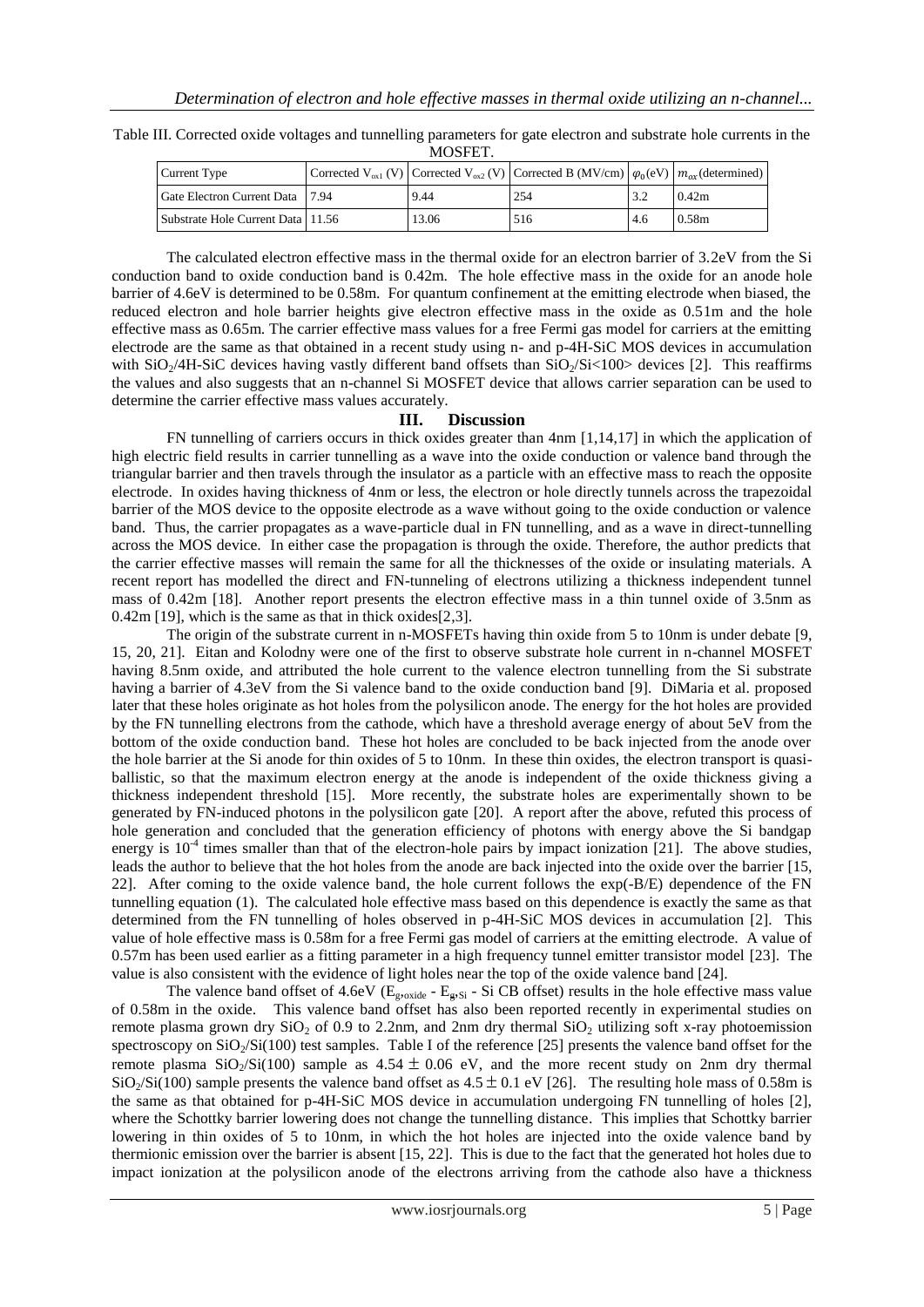| Table III. Corrected oxide voltages and tunnelling parameters for gate electron and substrate hole currents in the |
|--------------------------------------------------------------------------------------------------------------------|
| MOSFET.                                                                                                            |

| Current Type                        |       | Corrected V <sub>ox1</sub> (V) Corrected V <sub>ox2</sub> (V) Corrected B (MV/cm) $\varphi_0(eV)$ $m_{\alpha x}$ (determined) |     |                   |
|-------------------------------------|-------|-------------------------------------------------------------------------------------------------------------------------------|-----|-------------------|
| Gate Electron Current Data 17.94    | 9.44  | 254                                                                                                                           |     | 0.42m             |
| Substrate Hole Current Data   11.56 | 13.06 | 516                                                                                                                           | 4.6 | 0.58 <sub>m</sub> |

The calculated electron effective mass in the thermal oxide for an electron barrier of 3.2eV from the Si conduction band to oxide conduction band is 0.42m. The hole effective mass in the oxide for an anode hole barrier of 4.6eV is determined to be 0.58m. For quantum confinement at the emitting electrode when biased, the reduced electron and hole barrier heights give electron effective mass in the oxide as 0.51m and the hole effective mass as 0.65m. The carrier effective mass values for a free Fermi gas model for carriers at the emitting electrode are the same as that obtained in a recent study using n- and p-4H-SiC MOS devices in accumulation with  $SiO_2/4H-SiC$  devices having vastly different band offsets than  $SiO_2/Si<100$  devices [2]. This reaffirms the values and also suggests that an n-channel Si MOSFET device that allows carrier separation can be used to determine the carrier effective mass values accurately.

### **III. Discussion**

FN tunnelling of carriers occurs in thick oxides greater than 4nm [1,14,17] in which the application of high electric field results in carrier tunnelling as a wave into the oxide conduction or valence band through the triangular barrier and then travels through the insulator as a particle with an effective mass to reach the opposite electrode. In oxides having thickness of 4nm or less, the electron or hole directly tunnels across the trapezoidal barrier of the MOS device to the opposite electrode as a wave without going to the oxide conduction or valence band. Thus, the carrier propagates as a wave-particle dual in FN tunnelling, and as a wave in direct-tunnelling across the MOS device. In either case the propagation is through the oxide. Therefore, the author predicts that the carrier effective masses will remain the same for all the thicknesses of the oxide or insulating materials. A recent report has modelled the direct and FN-tunneling of electrons utilizing a thickness independent tunnel mass of 0.42m [18]. Another report presents the electron effective mass in a thin tunnel oxide of 3.5nm as 0.42m [19], which is the same as that in thick oxides[2,3].

The origin of the substrate current in n-MOSFETs having thin oxide from 5 to 10nm is under debate [9, 15, 20, 21]. Eitan and Kolodny were one of the first to observe substrate hole current in n-channel MOSFET having 8.5nm oxide, and attributed the hole current to the valence electron tunnelling from the Si substrate having a barrier of 4.3eV from the Si valence band to the oxide conduction band [9]. DiMaria et al. proposed later that these holes originate as hot holes from the polysilicon anode. The energy for the hot holes are provided by the FN tunnelling electrons from the cathode, which have a threshold average energy of about 5eV from the bottom of the oxide conduction band. These hot holes are concluded to be back injected from the anode over the hole barrier at the Si anode for thin oxides of 5 to 10nm. In these thin oxides, the electron transport is quasiballistic, so that the maximum electron energy at the anode is independent of the oxide thickness giving a thickness independent threshold [15]. More recently, the substrate holes are experimentally shown to be generated by FN-induced photons in the polysilicon gate [20]. A report after the above, refuted this process of hole generation and concluded that the generation efficiency of photons with energy above the Si bandgap energy is  $10^{-4}$  times smaller than that of the electron-hole pairs by impact ionization [21]. The above studies, leads the author to believe that the hot holes from the anode are back injected into the oxide over the barrier [15, 22]. After coming to the oxide valence band, the hole current follows the exp(-B/E) dependence of the FN tunnelling equation (1). The calculated hole effective mass based on this dependence is exactly the same as that determined from the FN tunnelling of holes observed in p-4H-SiC MOS devices in accumulation [2]. This value of hole effective mass is 0.58m for a free Fermi gas model of carriers at the emitting electrode. A value of 0.57m has been used earlier as a fitting parameter in a high frequency tunnel emitter transistor model [23]. The value is also consistent with the evidence of light holes near the top of the oxide valence band [24].

The valence band offset of 4.6eV ( $E_{\text{g,oxide}}$  -  $E_{\text{g,Si}}$  - Si CB offset) results in the hole effective mass value of 0.58m in the oxide. This valence band offset has also been reported recently in experimental studies on remote plasma grown dry  $SiO<sub>2</sub>$  of 0.9 to 2.2nm, and 2nm dry thermal  $SiO<sub>2</sub>$  utilizing soft x-ray photoemission spectroscopy on  $SiO<sub>2</sub>/Si(100)$  test samples. Table I of the reference [25] presents the valence band offset for the remote plasma  $SiO<sub>2</sub>/Si(100)$  sample as  $4.54 \pm 0.06$  eV, and the more recent study on 2nm dry thermal  $SiO_2/Si(100)$  sample presents the valence band offset as  $4.5 \pm 0.1$  eV [26]. The resulting hole mass of 0.58m is the same as that obtained for p-4H-SiC MOS device in accumulation undergoing FN tunnelling of holes [2], where the Schottky barrier lowering does not change the tunnelling distance. This implies that Schottky barrier lowering in thin oxides of 5 to 10nm, in which the hot holes are injected into the oxide valence band by thermionic emission over the barrier is absent [15, 22]. This is due to the fact that the generated hot holes due to impact ionization at the polysilicon anode of the electrons arriving from the cathode also have a thickness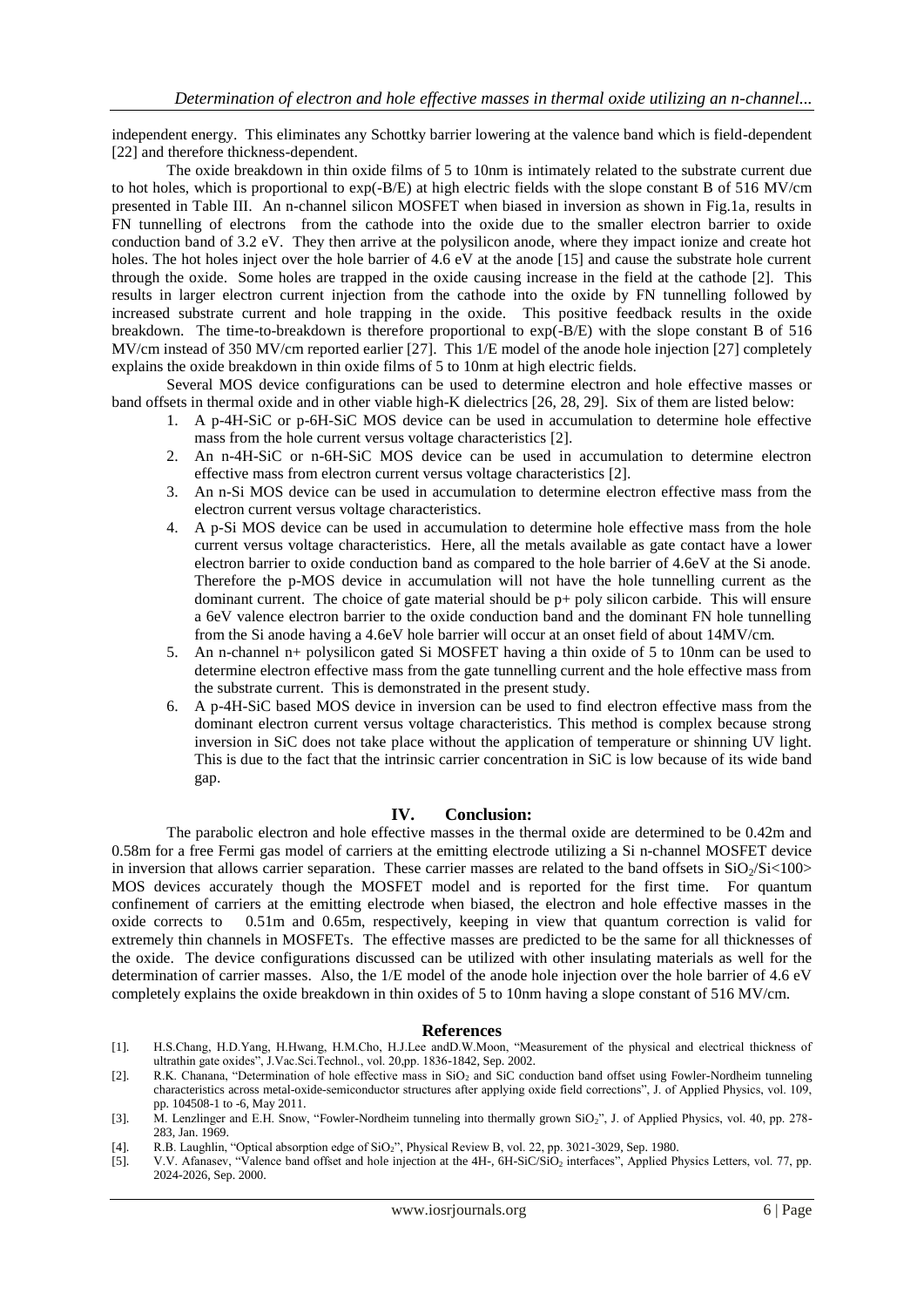independent energy. This eliminates any Schottky barrier lowering at the valence band which is field-dependent [22] and therefore thickness-dependent.

The oxide breakdown in thin oxide films of 5 to 10nm is intimately related to the substrate current due to hot holes, which is proportional to exp(-B/E) at high electric fields with the slope constant B of 516 MV/cm presented in Table III. An n-channel silicon MOSFET when biased in inversion as shown in Fig.1a, results in FN tunnelling of electrons from the cathode into the oxide due to the smaller electron barrier to oxide conduction band of 3.2 eV. They then arrive at the polysilicon anode, where they impact ionize and create hot holes. The hot holes inject over the hole barrier of 4.6 eV at the anode [15] and cause the substrate hole current through the oxide. Some holes are trapped in the oxide causing increase in the field at the cathode [2]. This results in larger electron current injection from the cathode into the oxide by FN tunnelling followed by increased substrate current and hole trapping in the oxide. This positive feedback results in the oxide breakdown. The time-to-breakdown is therefore proportional to exp(-B/E) with the slope constant B of 516 MV/cm instead of 350 MV/cm reported earlier [27]. This 1/E model of the anode hole injection [27] completely explains the oxide breakdown in thin oxide films of 5 to 10nm at high electric fields.

Several MOS device configurations can be used to determine electron and hole effective masses or band offsets in thermal oxide and in other viable high-K dielectrics [26, 28, 29]. Six of them are listed below:

- 1. A p-4H-SiC or p-6H-SiC MOS device can be used in accumulation to determine hole effective mass from the hole current versus voltage characteristics [2].
- 2. An n-4H-SiC or n-6H-SiC MOS device can be used in accumulation to determine electron effective mass from electron current versus voltage characteristics [2].
- 3. An n-Si MOS device can be used in accumulation to determine electron effective mass from the electron current versus voltage characteristics.
- 4. A p-Si MOS device can be used in accumulation to determine hole effective mass from the hole current versus voltage characteristics. Here, all the metals available as gate contact have a lower electron barrier to oxide conduction band as compared to the hole barrier of 4.6eV at the Si anode. Therefore the p-MOS device in accumulation will not have the hole tunnelling current as the dominant current. The choice of gate material should be  $p+$  poly silicon carbide. This will ensure a 6eV valence electron barrier to the oxide conduction band and the dominant FN hole tunnelling from the Si anode having a 4.6eV hole barrier will occur at an onset field of about 14MV/cm.
- 5. An n-channel n+ polysilicon gated Si MOSFET having a thin oxide of 5 to 10nm can be used to determine electron effective mass from the gate tunnelling current and the hole effective mass from the substrate current. This is demonstrated in the present study.
- 6. A p-4H-SiC based MOS device in inversion can be used to find electron effective mass from the dominant electron current versus voltage characteristics. This method is complex because strong inversion in SiC does not take place without the application of temperature or shinning UV light. This is due to the fact that the intrinsic carrier concentration in SiC is low because of its wide band gap.

### **IV. Conclusion:**

The parabolic electron and hole effective masses in the thermal oxide are determined to be 0.42m and 0.58m for a free Fermi gas model of carriers at the emitting electrode utilizing a Si n-channel MOSFET device in inversion that allows carrier separation. These carrier masses are related to the band offsets in  $SiO<sub>2</sub>/Si<100>$ MOS devices accurately though the MOSFET model and is reported for the first time. For quantum confinement of carriers at the emitting electrode when biased, the electron and hole effective masses in the oxide corrects to 0.51m and 0.65m, respectively, keeping in view that quantum correction is valid for extremely thin channels in MOSFETs. The effective masses are predicted to be the same for all thicknesses of the oxide. The device configurations discussed can be utilized with other insulating materials as well for the determination of carrier masses. Also, the 1/E model of the anode hole injection over the hole barrier of 4.6 eV completely explains the oxide breakdown in thin oxides of 5 to 10nm having a slope constant of 516 MV/cm.

#### **References**

[1]. H.S.Chang, H.D.Yang, H.Hwang, H.M.Cho, H.J.Lee andD.W.Moon, "Measurement of the physical and electrical thickness of ultrathin gate oxides", J.Vac.Sci.Technol., vol. 20,pp. 1836-1842, Sep. 2002.

[2]. R.K. Chanana, "Determination of hole effective mass in SiO<sub>2</sub> and SiC conduction band offset using Fowler-Nordheim tunneling characteristics across metal-oxide-semiconductor structures after applying oxide field corrections", J. of Applied Physics, vol. 109, pp. 104508-1 to -6, May 2011.

<sup>[3].</sup> M. Lenzlinger and E.H. Snow, "Fowler-Nordheim tunneling into thermally grown SiO<sub>2</sub>", J. of Applied Physics, vol. 40, pp. 278-283, Jan. 1969.

<sup>[4].</sup> R.B. Laughlin, "Optical absorption edge of SiO2", Physical Review B, vol. 22, pp. 3021-3029, Sep. 1980.

<sup>[5].</sup> V.V. Afanasev, "Valence band offset and hole injection at the 4H-, 6H-SiC/SiO<sub>2</sub> interfaces", Applied Physics Letters, vol. 77, pp. 2024-2026, Sep. 2000.